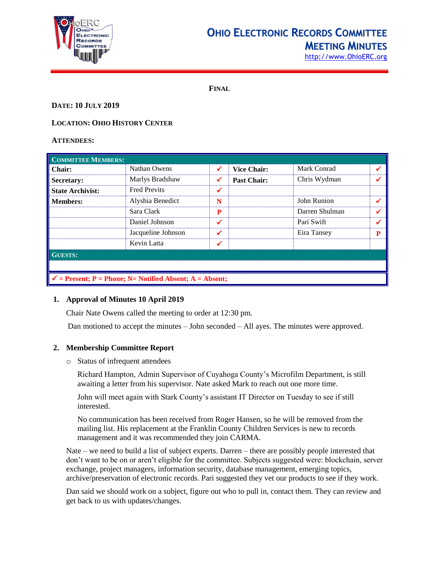

# **OHIO ELECTRONIC RECORDS COMMITTEE MEETING MINUTES**

[http://www.OhioERC.org](http://www.ohioerc.org/)

**FINAL**

## **DATE: 10 JULY 2019**

## **LOCATION: OHIO HISTORY CENTER**

### **ATTENDEES:**

| <b>COMMITTEE MEMBERS:</b>                                           |                     |   |                    |                |   |  |
|---------------------------------------------------------------------|---------------------|---|--------------------|----------------|---|--|
| <b>Chair:</b>                                                       | Nathan Owens        | ✓ | <b>Vice Chair:</b> | Mark Conrad    |   |  |
| Secretary:                                                          | Marlys Bradshaw     | ✔ | <b>Past Chair:</b> | Chris Wydman   |   |  |
| <b>State Archivist:</b>                                             | <b>Fred Previts</b> | ✔ |                    |                |   |  |
| <b>Members:</b>                                                     | Alyshia Benedict    | N |                    | John Runion    |   |  |
|                                                                     | Sara Clark          | P |                    | Darren Shulman |   |  |
|                                                                     | Daniel Johnson      | ✔ |                    | Pari Swift     |   |  |
|                                                                     | Jacqueline Johnson  | ✔ |                    | Eira Tansey    | P |  |
|                                                                     | Kevin Latta         |   |                    |                |   |  |
| <b>GUESTS:</b>                                                      |                     |   |                    |                |   |  |
|                                                                     |                     |   |                    |                |   |  |
| $\checkmark$ = Present; P = Phone; N = Notified Absent; A = Absent; |                     |   |                    |                |   |  |

## **1. Approval of Minutes 10 April 2019**

Chair Nate Owens called the meeting to order at 12:30 pm.

Dan motioned to accept the minutes – John seconded – All ayes. The minutes were approved.

# **2. Membership Committee Report**

o Status of infrequent attendees

Richard Hampton, Admin Supervisor of Cuyahoga County's Microfilm Department, is still awaiting a letter from his supervisor. Nate asked Mark to reach out one more time.

John will meet again with Stark County's assistant IT Director on Tuesday to see if still interested.

No communication has been received from Roger Hansen, so he will be removed from the mailing list. His replacement at the Franklin County Children Services is new to records management and it was recommended they join CARMA.

Nate – we need to build a list of subject experts. Darren – there are possibly people interested that don't want to be on or aren't eligible for the committee. Subjects suggested were: blockchain, server exchange, project managers, information security, database management, emerging topics, archive/preservation of electronic records. Pari suggested they vet our products to see if they work.

Dan said we should work on a subject, figure out who to pull in, contact them. They can review and get back to us with updates/changes.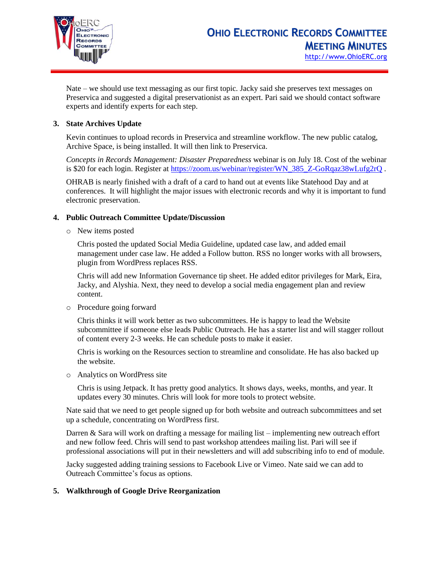

Nate – we should use text messaging as our first topic. Jacky said she preserves text messages on Preservica and suggested a digital preservationist as an expert. Pari said we should contact software experts and identify experts for each step.

## **3. State Archives Update**

Kevin continues to upload records in Preservica and streamline workflow. The new public catalog, Archive Space, is being installed. It will then link to Preservica.

*Concepts in Records Management: Disaster Preparedness* webinar is on July 18. Cost of the webinar is \$20 for each login. Register at [https://zoom.us/webinar/register/WN\\_385\\_Z-GoRqaz38wLufg2rQ](https://zoom.us/webinar/register/WN_385_Z-GoRqaz38wLufg2rQ) .

OHRAB is nearly finished with a draft of a card to hand out at events like Statehood Day and at conferences. It will highlight the major issues with electronic records and why it is important to fund electronic preservation.

## **4. Public Outreach Committee Update/Discussion**

o New items posted

Chris posted the updated Social Media Guideline, updated case law, and added email management under case law. He added a Follow button. RSS no longer works with all browsers, plugin from WordPress replaces RSS.

Chris will add new Information Governance tip sheet. He added editor privileges for Mark, Eira, Jacky, and Alyshia. Next, they need to develop a social media engagement plan and review content.

o Procedure going forward

Chris thinks it will work better as two subcommittees. He is happy to lead the Website subcommittee if someone else leads Public Outreach. He has a starter list and will stagger rollout of content every 2-3 weeks. He can schedule posts to make it easier.

Chris is working on the Resources section to streamline and consolidate. He has also backed up the website.

o Analytics on WordPress site

Chris is using Jetpack. It has pretty good analytics. It shows days, weeks, months, and year. It updates every 30 minutes. Chris will look for more tools to protect website.

Nate said that we need to get people signed up for both website and outreach subcommittees and set up a schedule, concentrating on WordPress first.

Darren & Sara will work on drafting a message for mailing list – implementing new outreach effort and new follow feed. Chris will send to past workshop attendees mailing list. Pari will see if professional associations will put in their newsletters and will add subscribing info to end of module.

Jacky suggested adding training sessions to Facebook Live or Vimeo. Nate said we can add to Outreach Committee's focus as options.

## **5. Walkthrough of Google Drive Reorganization**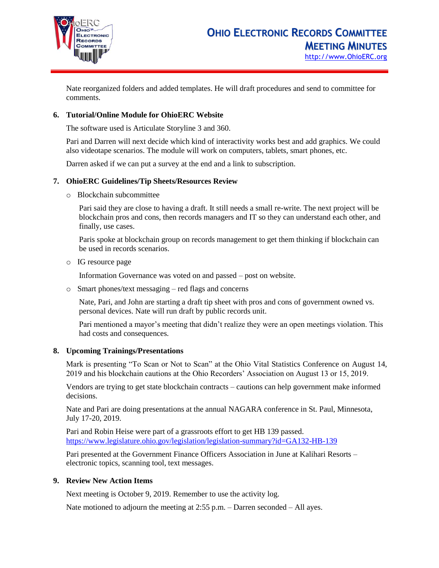

Nate reorganized folders and added templates. He will draft procedures and send to committee for comments.

### **6. Tutorial/Online Module for OhioERC Website**

The software used is Articulate Storyline 3 and 360.

Pari and Darren will next decide which kind of interactivity works best and add graphics. We could also videotape scenarios. The module will work on computers, tablets, smart phones, etc.

Darren asked if we can put a survey at the end and a link to subscription.

### **7. OhioERC Guidelines/Tip Sheets/Resources Review**

o Blockchain subcommittee

Pari said they are close to having a draft. It still needs a small re-write. The next project will be blockchain pros and cons, then records managers and IT so they can understand each other, and finally, use cases.

Paris spoke at blockchain group on records management to get them thinking if blockchain can be used in records scenarios.

o IG resource page

Information Governance was voted on and passed – post on website.

o Smart phones/text messaging – red flags and concerns

Nate, Pari, and John are starting a draft tip sheet with pros and cons of government owned vs. personal devices. Nate will run draft by public records unit.

Pari mentioned a mayor's meeting that didn't realize they were an open meetings violation. This had costs and consequences.

#### **8. Upcoming Trainings/Presentations**

Mark is presenting "To Scan or Not to Scan" at the Ohio Vital Statistics Conference on August 14, 2019 and his blockchain cautions at the Ohio Recorders' Association on August 13 or 15, 2019.

Vendors are trying to get state blockchain contracts – cautions can help government make informed decisions.

Nate and Pari are doing presentations at the annual NAGARA conference in St. Paul, Minnesota, July 17-20, 2019.

Pari and Robin Heise were part of a grassroots effort to get HB 139 passed. <https://www.legislature.ohio.gov/legislation/legislation-summary?id=GA132-HB-139>

Pari presented at the Government Finance Officers Association in June at Kalihari Resorts – electronic topics, scanning tool, text messages.

#### **9. Review New Action Items**

Next meeting is October 9, 2019. Remember to use the activity log.

Nate motioned to adjourn the meeting at  $2:55$  p.m. – Darren seconded – All ayes.